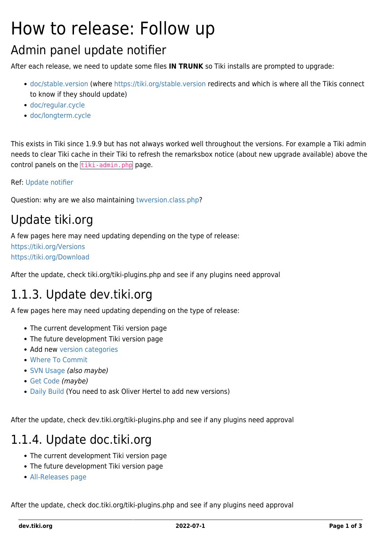# How to release: Follow up

#### Admin panel update notifier

After each release, we need to update some files **IN TRUNK** so Tiki installs are prompted to upgrade:

- [doc/stable.version](https://sourceforge.net/p/tikiwiki/code/HEAD/tree/trunk/doc/stable.version) (where <https://tiki.org/stable.version>redirects and which is where all the Tikis connect to know if they should update)
- [doc/regular.cycle](https://sourceforge.net/p/tikiwiki/code/HEAD/tree/trunk/doc/regular.cycle)
- [doc/longterm.cycle](https://sourceforge.net/p/tikiwiki/code/HEAD/tree/trunk/doc/longterm.cycle)

This exists in Tiki since 1.9.9 but has not always worked well throughout the versions. For example a Tiki admin needs to clear Tiki cache in their Tiki to refresh the remarksbox notice (about new upgrade available) above the control panels on the  $\frac{t}{\text{tiki}-\text{admin}}$ , php page.

#### Ref: [Update notifier](https://dev.tiki.org/Update-notifier)

Question: why are we also maintaining [twversion.class.php](https://sourceforge.net/p/tikiwiki/code/HEAD/tree/trunk/lib/setup/twversion.class.php)?

## Update tiki.org

A few pages here may need updating depending on the type of release:

<https://tiki.org/Versions> <https://tiki.org/Download>

After the update, check tiki.org/tiki-plugins.php and see if any plugins need approval

## 1.1.3. Update dev.tiki.org

A few pages here may need updating depending on the type of release:

- The current development Tiki version page
- The future development Tiki version page
- Add new [version categories](https://dev.tiki.org/tiki-admin_categories.php?parentId=61)
- [Where To Commit](https://dev.tiki.org/Where-to-commit)
- [SVN Usage](https://dev.tiki.org/SVN-Usage) (also maybe)
- [Get Code](https://dev.tiki.org/Get-code) (maybe)
- [Daily Build](https://dev.tiki.org/Daily-Build) (You need to ask Oliver Hertel to add new versions)

After the update, check dev.tiki.org/tiki-plugins.php and see if any plugins need approval

#### 1.1.4. Update doc.tiki.org

- The current development Tiki version page
- The future development Tiki version page
- [All-Releases page](https://tiki.org/All-Releases)

After the update, check doc.tiki.org/tiki-plugins.php and see if any plugins need approval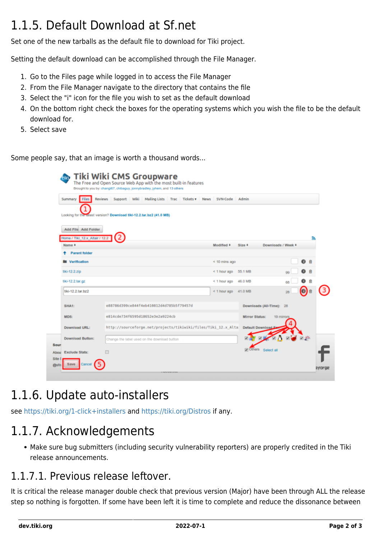# 1.1.5. Default Download at Sf.net

Set one of the new tarballs as the default file to download for Tiki project.

Setting the default download can be accomplished through the File Manager.

- 1. Go to the Files page while logged in to access the File Manager
- 2. From the File Manager navigate to the directory that contains the file
- 3. Select the "i" icon for the file you wish to set as the default download
- 4. On the bottom right check the boxes for the operating systems which you wish the file to be the default download for.
- 5. Select save

Some people say, that an image is worth a thousand words...

|                                                       | <b>Reviews</b><br>Support Wiki Mailing Lists Trac                    | Tickets ▼       | <b>News</b><br>SVN-Code   | Admin                    |           |    |
|-------------------------------------------------------|----------------------------------------------------------------------|-----------------|---------------------------|--------------------------|-----------|----|
|                                                       | Looking for the latest version? Download tiki-12.2.tar.bz2 (41.0 MB) |                 |                           |                          |           |    |
|                                                       |                                                                      |                 |                           |                          |           |    |
| Add File Add Folder<br>Home / Tiki 12.x Altair / 12.2 |                                                                      |                 |                           |                          |           | F. |
| Name #                                                |                                                                      | Modified #      | Size #                    | Downloads / Week #       |           |    |
| <b>Parent folder</b>                                  |                                                                      |                 |                           |                          |           |    |
| <b>Nerification</b>                                   |                                                                      | $< 10$ mins ago |                           |                          |           |    |
| tiki-12.2.zip                                         |                                                                      |                 | < 1 hour ago 55.1 MB      |                          |           |    |
| tiki-12.2.tar.gz                                      |                                                                      |                 | $<$ 1 hour ago            | 46.0 MB                  |           |    |
| tiki-12.2.tar.bz2                                     |                                                                      |                 | $\leq$ 1 hour ago 41.0 MB |                          | 28        |    |
| SHA1:                                                 | e88786d399ce844f4eb410812d4d785b5f79457d                             |                 |                           | Downloads (All-Time): 28 |           |    |
| MD5:                                                  | e814cde734f6595d18652e3e2a9224cb                                     |                 |                           | <b>Mirror Status:</b>    | 19 mimors |    |
| Download URL:                                         | http://sourceforge.net/projects/tikiwiki/files/Tiki_12.x_Alta        |                 |                           | Default Download         |           |    |
| <b>Download Button:</b>                               | Change the label used on the download button                         |                 |                           |                          |           |    |
|                                                       |                                                                      |                 |                           |                          |           |    |

## 1.1.6. Update auto-installers

see <https://tiki.org/1-click+installers> and<https://tiki.org/Distros> if any.

#### 1.1.7. Acknowledgements

Make sure bug submitters (including security vulnerability reporters) are properly credited in the Tiki release announcements.

#### 1.1.7.1. Previous release leftover.

It is critical the release manager double check that previous version (Major) have been through ALL the release step so nothing is forgotten. If some have been left it is time to complete and reduce the dissonance between